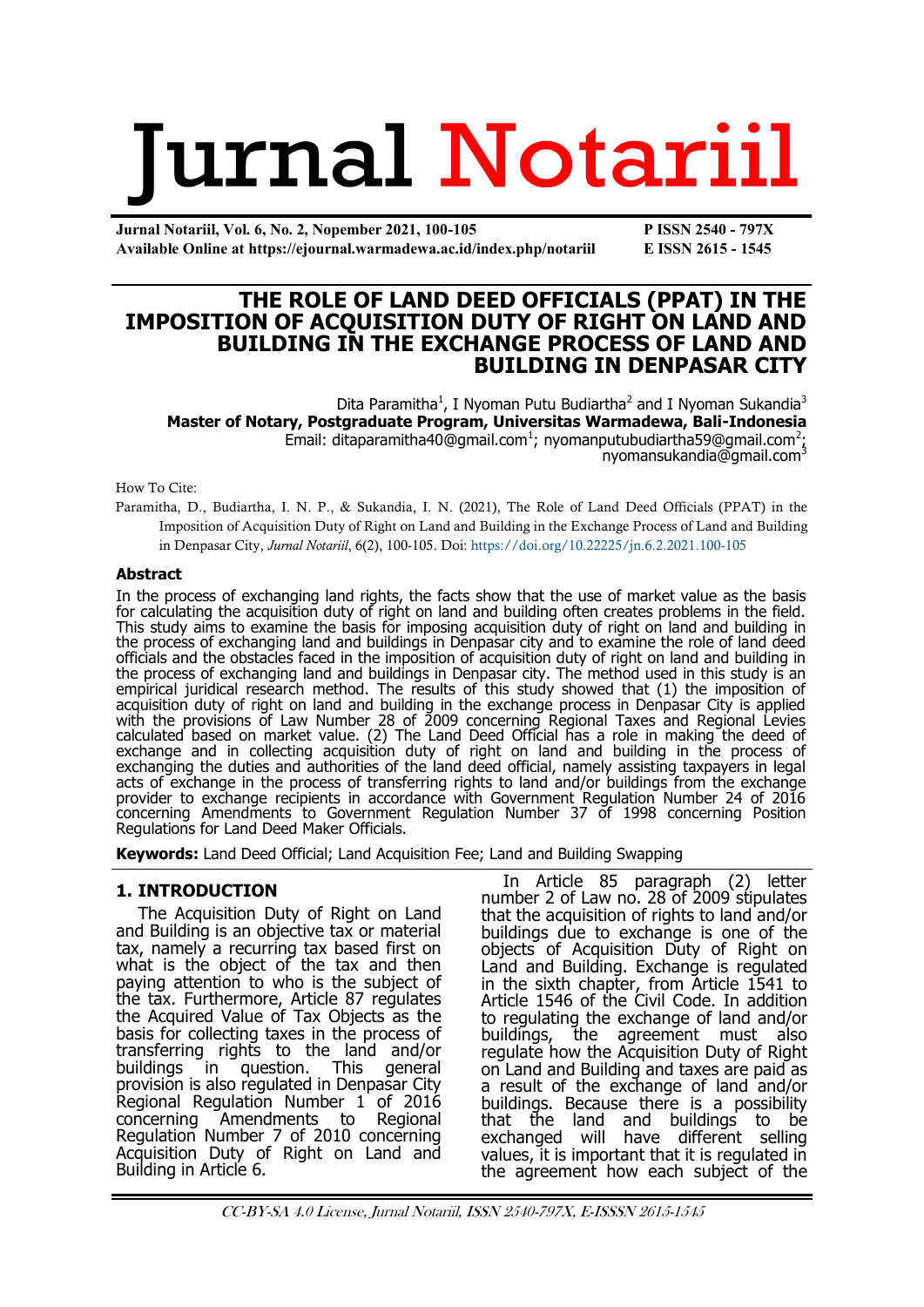# **Jurnal Notariil**

**Jurnal Notariil, Vol. 6, No. 2, Nopember 2021, 100-105 P ISSN 2540 - 797X Available Online at https://ejournal.warmadewa.ac.id/index.php/notariil E ISSN 2615 - 1545**

# **THE ROLE OF LAND DEED OFFICIALS (PPAT) IN THE IMPOSITION OF ACQUISITION DUTY OF RIGHT ON LAND AND BUILDING IN THE EXCHANGE PROCESS OF LAND AND BUILDING IN DENPASAR CITY**

Dita Paramitha<sup>1</sup>, I Nyoman Putu Budiartha<sup>2</sup> and I Nyoman Sukandia<sup>3</sup> **Master of Notary, Postgraduate Program, Universitas Warmadewa, Bali-Indonesia** Email: [ditaparamitha40@gmail.com](mailto:ditaparamitha40@gmail.com1)<sup>1</sup>; [nyomanputubudiartha59@gmail.com](mailto:nyomanputubudiartha59@gmail.com2)<sup>2</sup>; [nyomansukandia@gmail.com](mailto:nyomansukandia@gmail.com3)<sup>3</sup>

How To Cite:

Paramitha, D., Budiartha, I. N. P., & Sukandia, I. N. (2021), The Role of Land Deed Officials (PPAT) in the Imposition of Acquisition Duty of Right on Land and Building in the Exchange Process of Land and Building in Denpasar City, *Jurnal Notariil*, 6(2), 100-105. Doi: <https://doi.org/10.22225/jn.6.2.2021.100-105>

#### **Abstract**

In the process of exchanging land rights, the facts show that the use of market value as the basis for calculating the acquisition duty of right on land and building often creates problems in the field. This study aims to examine the basis for imposing acquisition duty of right on land and building in the process of exchanging land and buildings in Denpasar city and to examine the role of land deed officials and the obstacles faced in the imposition of acquisition duty of right on land and building in the process of exchanging land and buildings in Denpasar city. The method used in this study is an empirical juridical research method. The results of this study showed that (1) the imposition of acquisition duty of right on land and building in the exchange process in Denpasar City is applied with the provisions of Law Number 28 of 2009 concerning Regional Taxes and Regional Levies calculated based on market value. (2) The Land Deed Official has a role in making the deed of exchange and in collecting acquisition duty of right on land and building in the process of exchanging the duties and authorities of the land deed official, namely assisting taxpayers in legal acts of exchange in the process of transferring rights to land and/or buildings from the exchange provider to exchange recipients in accordance with Government Regulation Number 24 of 2016 concerning Amendments to Government Regulation Number 37 of 1998 concerning Position Regulations for Land Deed Maker Officials.

**Keywords:** Land Deed Official; Land Acquisition Fee; Land and Building Swapping

## **1. INTRODUCTION**

The Acquisition Duty of Right on Land and Building is an objective tax or material tax, namely a recurring tax based first on what is the object of the tax and then paying attention to who is the subject of the tax. Furthermore, Article 87 regulates the Acquired Value of Tax Objects as the basis for collecting taxes in the process of transferring rights to the land and/or buildings in question. This general provision is also regulated in Denpasar City Regional Regulation Number 1 of 2016 Amendments to Regional Regulation Number 7 of 2010 concerning Acquisition Duty of Right on Land and Building in Article 6.

In Article 85 paragraph (2) letter number 2 of Law no. 28 of 2009 stipulates that the acquisition of rights to land and/or buildings due to exchange is one of the objects of Acquisition Duty of Right on Land and Building. Exchange is regulated in the sixth chapter, from Article 1541 to Article 1546 of the Civil Code. In addition to regulating the exchange of land and/or buildings, the agreement must also regulate how the Acquisition Duty of Right on Land and Building and taxes are paid as a result of the exchange of land and/or buildings. Because there is a possibility that the land and buildings to be exchanged will have different selling values, it is important that it is regulated in the agreement how each subject of the

CC-BY-SA 4.0 License, Jurnal Notariil, ISSN 2540-797X, E-ISSSN 2615-1545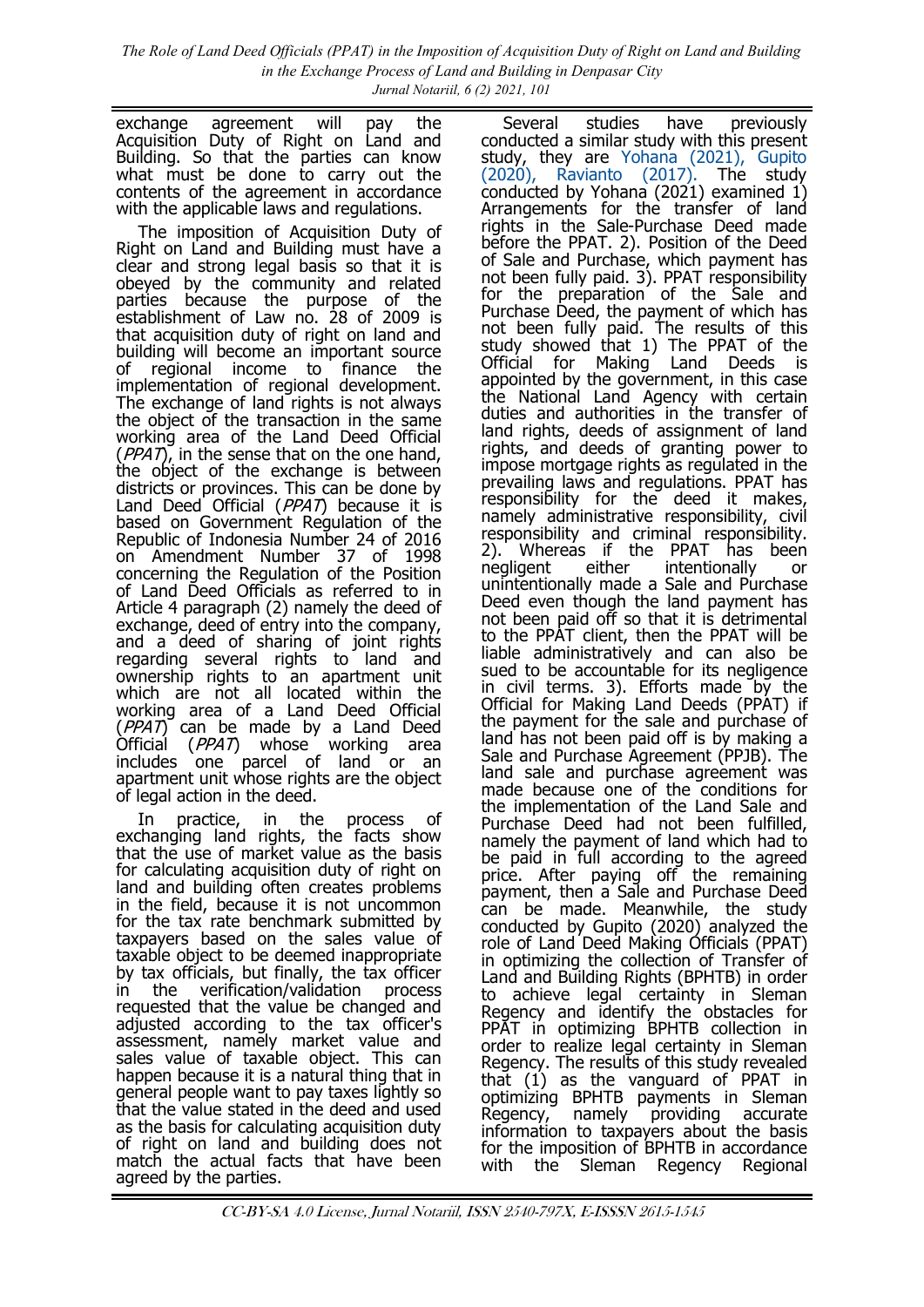*The Role of Land Deed Officials (PPAT) in the Imposition of Acquisition Duty of Right on Land and Building in the Exchange Process of Land and Building in Denpasar City Jurnal Notariil, 6 (2) 2021, 101*

exchange agreement will pay the Acquisition Duty of Right on Land and Building. So that the parties can know what must be done to carry out the contents of the agreement in accordance with the applicable laws and regulations.

The imposition of Acquisition Duty of Right on Land and Building must have a clear and strong legal basis so that it is obeyed by the community and related parties because the purpose of the establishment of Law no. 28 of 2009 is that acquisition duty of right on land and building will become an important source of regional income to finance the implementation of regional development. The exchange of land rights is not always the object of the transaction in the same working area of the Land Deed Official  $(PPAT)$ , in the sense that on the one hand, the object of the exchange is between districts or provinces. This can be done by Land Deed Official (PPAT) because it is based on Government Regulation of the Republic of Indonesia Number 24 of 2016 on Amendment Number 37 of 1998 concerning the Regulation of the Position of Land Deed Officials as referred to in Article 4 paragraph (2) namely the deed of exchange, deed of entry into the company, and a deed of sharing of joint rights regarding several rights to land and ownership rights to an apartment unit which are not all located within the working area of a Land Deed Official (PPAT) can be made by a Land Deed Official (*PPAT*) whose working area includes one parcel of land or an apartment unit whose rights are the object of legal action in the deed.

In practice, in the process of exchanging land rights, the facts show that the use of market value as the basis for calculating acquisition duty of right on land and building often creates problems in the field, because it is not uncommon for the tax rate benchmark submitted by taxpayers based on the sales value of taxable object to be deemed inappropriate by tax officials, but finally, the tax officer in the verification/validation process requested that the value be changed and adjusted according to the tax officer's assessment, namely market value and sales value of taxable object. This can happen because it is a natural thing that in general people want to pay taxes lightly so that the value stated in the deed and used as the basis for calculating acquisition duty of right on land and building does not match the actual facts that have been agreed by the parties.

Several studies have previously conducted a similar study with this present study, they are [Yohana \(2021\), Gupito](#page-5-0)  [\(2020\), Ravianto \(2017\).](#page-5-0) The study conducted by Yohana (2021) examined 1) Arrangements for the transfer of land rights in the Sale-Purchase Deed made before the PPAT. 2). Position of the Deed of Sale and Purchase, which payment has not been fully paid. 3). PPAT responsibility for the preparation of the Sale and Purchase Deed, the payment of which has not been fully paid. The results of this study showed that 1) The PPAT of the Official for Making Land Deeds is appointed by the government, in this case the National Land Agency with certain duties and authorities in the transfer of land rights, deeds of assignment of land rights, and deeds of granting power to impose mortgage rights as regulated in the prevailing laws and regulations. PPAT has responsibility for the deed it makes, namely administrative responsibility, civil responsibility and criminal responsibility. 2). Whereas if the PPAT has been negligent either intentionally or unintentionally made a Sale and Purchase Deed even though the land payment has not been paid off so that it is detrimental to the PPAT client, then the PPAT will be liable administratively and can also be sued to be accountable for its negligence in civil terms. 3). Efforts made by the Official for Making Land Deeds (PPAT) if the payment for the sale and purchase of land has not been paid off is by making a Sale and Purchase Agreement (PPJB). The land sale and purchase agreement was made because one of the conditions for the implementation of the Land Sale and Purchase Deed had not been fulfilled, namely the payment of land which had to be paid in full according to the agreed price. After paying off the remaining payment, then a Sale and Purchase Deed can be made. Meanwhile, the study conducted by Gupito (2020) analyzed the role of Land Deed Making Officials (PPAT) in optimizing the collection of Transfer of Land and Building Rights (BPHTB) in order to achieve legal certainty in Sleman Regency and identify the obstacles for PPAT in optimizing BPHTB collection in order to realize legal certainty in Sleman Regency. The results of this study revealed that (1) as the vanguard of PPAT in optimizing BPHTB payments in Sleman Regency, namely providing accurate information to taxpayers about the basis for the imposition of BPHTB in accordance with the Sleman Regency Regional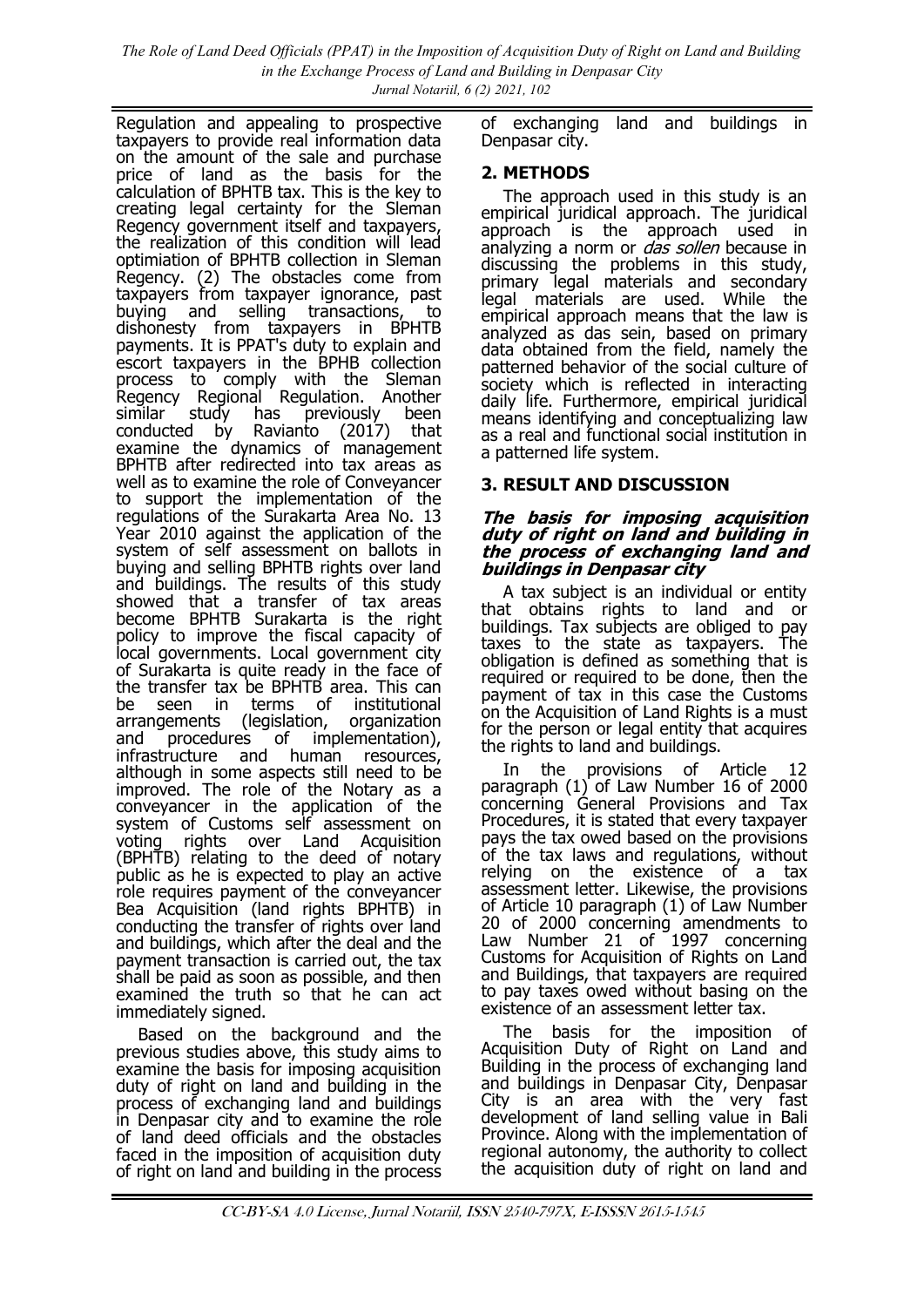Regulation and appealing to prospective taxpayers to provide real information data on the amount of the sale and purchase price of land as the basis for the calculation of BPHTB tax. This is the key to creating legal certainty for the Sleman Regency government itself and taxpayers, the realization of this condition will lead optimiation of BPHTB collection in Sleman Regency. (2) The obstacles come from taxpayers from taxpayer ignorance, past buying and selling transactions, to dishonesty from taxpayers in BPHTB payments. It is PPAT's duty to explain and escort taxpayers in the BPHB collection process to comply with the Sleman Regency Regional Regulation. Another similar study has previously been conducted by Ravianto (2017) that examine the dynamics of management BPHTB after redirected into tax areas as well as to examine the role of Conveyancer to support the implementation of the regulations of the Surakarta Area No. 13 Year 2010 against the application of the system of self assessment on ballots in buying and selling BPHTB rights over land and buildings. The results of this study showed that a transfer of tax areas become BPHTB Surakarta is the right policy to improve the fiscal capacity of local governments. Local government city of Surakarta is quite ready in the face of the transfer tax be BPHTB area. This can<br>be seen in terms of institutional be seen in terms of institutional arrangements (legislation, organization and procedures of implementation), infrastructure and human resources, although in some aspects still need to be improved. The role of the Notary as a conveyancer in the application of the system of Customs self assessment on voting rights over Land Acquisition (BPHTB) relating to the deed of notary public as he is expected to play an active role requires payment of the conveyancer Bea Acquisition (land rights BPHTB) in conducting the transfer of rights over land and buildings, which after the deal and the payment transaction is carried out, the tax shall be paid as soon as possible, and then examined the truth so that he can act immediately signed.

Based on the background and the previous studies above, this study aims to examine the basis for imposing acquisition duty of right on land and building in the process of exchanging land and buildings in Denpasar city and to examine the role of land deed officials and the obstacles faced in the imposition of acquisition duty of right on land and building in the process

of exchanging land and buildings in Denpasar city.

## **2. METHODS**

The approach used in this study is an empirical juridical approach. The juridical approach is the approach used in analyzing a norm or *das sollen* because in discussing the problems in this study, primary legal materials and secondary legal materials are used. While the empirical approach means that the law is analyzed as das sein, based on primary data obtained from the field, namely the patterned behavior of the social culture of society which is reflected in interacting daily life. Furthermore, empirical juridical means identifying and conceptualizing law as a real and functional social institution in a patterned life system.

# **3. RESULT AND DISCUSSION**

#### **The basis for imposing acquisition duty of right on land and building in the process of exchanging land and buildings in Denpasar city**

A tax subject is an individual or entity that obtains rights to land and or buildings. Tax subjects are obliged to pay taxes to the state as taxpayers. The obligation is defined as something that is required or required to be done, then the payment of tax in this case the Customs on the Acquisition of Land Rights is a must for the person or legal entity that acquires the rights to land and buildings.

In the provisions of Article 12 paragraph (1) of Law Number 16 of 2000 concerning General Provisions and Tax Procedures, it is stated that every taxpayer pays the tax owed based on the provisions of the tax laws and regulations, without relying on the existence of a tax assessment letter. Likewise, the provisions of Article 10 paragraph (1) of Law Number 20 of 2000 concerning amendments to Law Number 21 of 1997 concerning Customs for Acquisition of Rights on Land and Buildings, that taxpayers are required to pay taxes owed without basing on the existence of an assessment letter tax.

The basis for the imposition of Acquisition Duty of Right on Land and Building in the process of exchanging land and buildings in Denpasar City, Denpasar City is an area with the very fast development of land selling value in Bali Province. Along with the implementation of regional autonomy, the authority to collect the acquisition duty of right on land and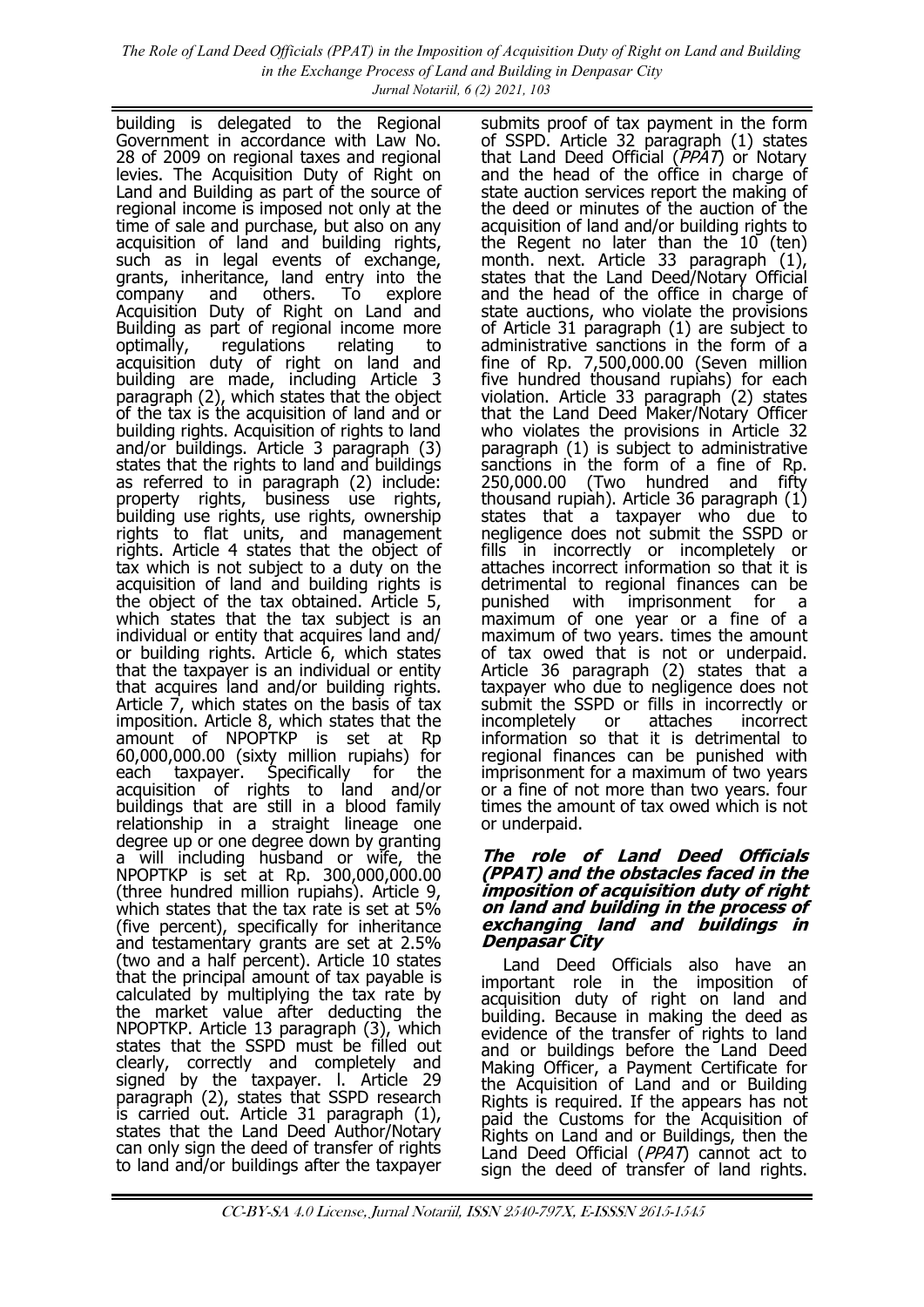building is delegated to the Regional Government in accordance with Law No. 28 of 2009 on regional taxes and regional levies. The Acquisition Duty of Right on Land and Building as part of the source of regional income is imposed not only at the time of sale and purchase, but also on any acquisition of land and building rights, such as in legal events of exchange, grants, inheritance, land entry into the company and others. To explore Acquisition Duty of Right on Land and Building as part of regional income more optimally, regulations relating to acquisition duty of right on land and building are made, including Article 3 paragraph (2), which states that the object of the tax is the acquisition of land and or building rights. Acquisition of rights to land and/or buildings. Article 3 paragraph (3) states that the rights to land and buildings as referred to in paragraph (2) include: property rights, business use rights, building use rights, use rights, ownership rights to flat units, and management rights. Article 4 states that the object of tax which is not subject to a duty on the acquisition of land and building rights is the object of the tax obtained. Article 5, which states that the tax subject is an individual or entity that acquires land and/ or building rights. Article 6, which states that the taxpayer is an individual or entity that acquires land and/or building rights. Article 7, which states on the basis of tax imposition. Article 8, which states that the amount of NPOPTKP is set at Rp 60,000,000.00 (sixty million rupiahs) for each taxpayer. Specifically for the acquisition of rights to land and/or buildings that are still in a blood family relationship in a straight lineage one degree up or one degree down by granting a will including husband or wife, the NPOPTKP is set at Rp. 300,000,000.00 (three hundred million rupiahs). Article 9, which states that the tax rate is set at 5% (five percent), specifically for inheritance and testamentary grants are set at 2.5% (two and a half percent). Article 10 states that the principal amount of tax payable is calculated by multiplying the tax rate by the market value after deducting the NPOPTKP. Article 13 paragraph (3), which states that the SSPD must be filled out clearly, correctly and completely and signed by the taxpayer. l. Article 29 paragraph (2), states that SSPD research is carried out. Article 31 paragraph (1), states that the Land Deed Author/Notary can only sign the deed of transfer of rights to land and/or buildings after the taxpayer

submits proof of tax payment in the form of SSPD. Article 32 paragraph (1) states that Land Deed Official (PPAT) or Notary and the head of the office in charge of state auction services report the making of the deed or minutes of the auction of the acquisition of land and/or building rights to the Regent no later than the 10 (ten) month. next. Article 33 paragraph (1), states that the Land Deed/Notary Official and the head of the office in charge of state auctions, who violate the provisions of Article 31 paragraph (1) are subject to administrative sanctions in the form of a fine of Rp. 7,500,000.00 (Seven million five hundred thousand rupiahs) for each violation. Article 33 paragraph (2) states that the Land Deed Maker/Notary Officer who violates the provisions in Article 32 paragraph (1) is subject to administrative sanctions in the form of a fine of Rp. 250,000.00 (Two hundred and fifty thousand rupiah). Article 36 paragraph (1) states that a taxpayer who due to negligence does not submit the SSPD or fills in incorrectly or incompletely or attaches incorrect information so that it is detrimental to regional finances can be punished with imprisonment for a maximum of one year or a fine of a maximum of two years. times the amount of tax owed that is not or underpaid. Article 36 paragraph (2) states that a taxpayer who due to negligence does not submit the SSPD or fills in incorrectly or incompletely or attaches incorrect information so that it is detrimental to regional finances can be punished with imprisonment for a maximum of two years or a fine of not more than two years. four times the amount of tax owed which is not or underpaid.

#### **The role of Land Deed Officials (PPAT) and the obstacles faced in the imposition of acquisition duty of right on land and building in the process of exchanging land and buildings in Denpasar City**

Land Deed Officials also have an important role in the imposition of acquisition duty of right on land and building. Because in making the deed as evidence of the transfer of rights to land and or buildings before the Land Deed Making Officer, a Payment Certificate for the Acquisition of Land and or Building Rights is required. If the appears has not paid the Customs for the Acquisition of Rights on Land and or Buildings, then the Land Deed Official (*PPAT*) cannot act to sign the deed of transfer of land rights.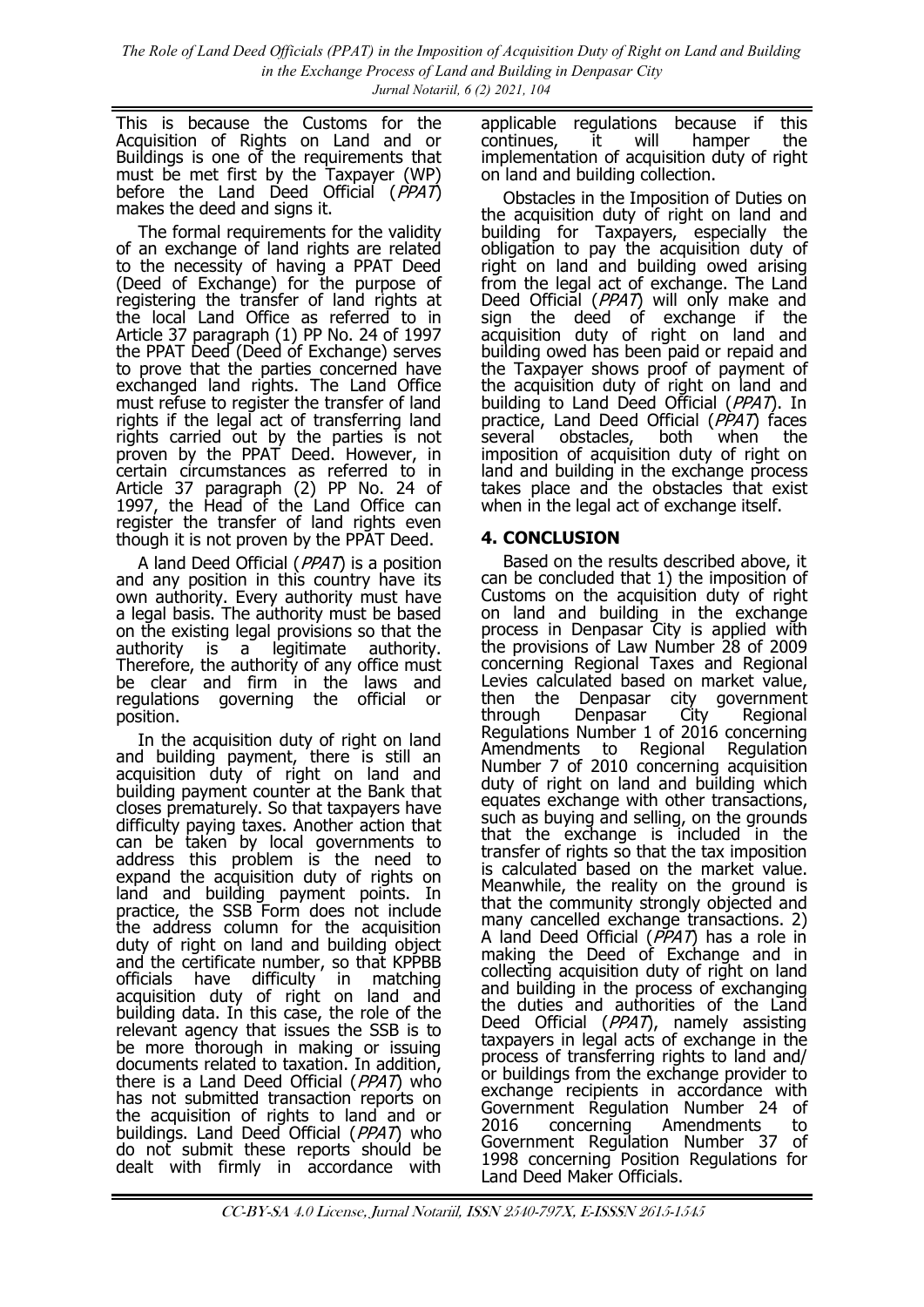*The Role of Land Deed Officials (PPAT) in the Imposition of Acquisition Duty of Right on Land and Building in the Exchange Process of Land and Building in Denpasar City Jurnal Notariil, 6 (2) 2021, 104*

This is because the Customs for the Acquisition of Rights on Land and or Buildings is one of the requirements that must be met first by the Taxpayer (WP) before the Land Deed Official  $(\overrightarrow{PPAT})$ makes the deed and signs it.

The formal requirements for the validity of an exchange of land rights are related to the necessity of having a PPAT Deed (Deed of Exchange) for the purpose of registering the transfer of land rights at the local Land Office as referred to in Article 37 paragraph (1) PP No. 24 of 1997 the PPAT Deed (Deed of Exchange) serves to prove that the parties concerned have exchanged land rights. The Land Office must refuse to register the transfer of land rights if the legal act of transferring land rights carried out by the parties is not proven by the PPAT Deed. However, in certain circumstances as referred to in Article 37 paragraph (2) PP No. 24 of 1997, the Head of the Land Office can register the transfer of land rights even though it is not proven by the PPAT Deed.

A land Deed Official (PPAT) is a position and any position in this country have its own authority. Every authority must have a legal basis. The authority must be based on the existing legal provisions so that the authority is a legitimate authority. Therefore, the authority of any office must be clear and firm in the laws and regulations governing the official or position.

In the acquisition duty of right on land and building payment, there is still an acquisition duty of right on land and building payment counter at the Bank that closes prematurely. So that taxpayers have difficulty paying taxes. Another action that can be taken by local governments to address this problem is the need to expand the acquisition duty of rights on land and building payment points. In practice, the SSB Form does not include the address column for the acquisition duty of right on land and building object and the certificate number, so that KPPBB officials have difficulty in matching acquisition duty of right on land and building data. In this case, the role of the relevant agency that issues the SSB is to be more thorough in making or issuing documents related to taxation. In addition, there is a Land Deed Official (PPAT) who has not submitted transaction reports on the acquisition of rights to land and or buildings. Land Deed Official (PPAT) who do not submit these reports should be dealt with firmly in accordance with

applicable regulations because if this continues, it will hamper the implementation of acquisition duty of right on land and building collection.

Obstacles in the Imposition of Duties on the acquisition duty of right on land and building for Taxpayers, especially the obligation to pay the acquisition duty of right on land and building owed arising from the legal act of exchange. The Land Deed Official (PPAT) will only make and sign the deed of exchange if the acquisition duty of right on land and building owed has been paid or repaid and the Taxpayer shows proof of payment of the acquisition duty of right on land and building to Land Deed Official (PPAT). In practice, Land Deed Official  $(PPAT)$  faces several obstacles, both when the imposition of acquisition duty of right on land and building in the exchange process takes place and the obstacles that exist when in the legal act of exchange itself.

# **4. CONCLUSION**

Based on the results described above, it can be concluded that 1) the imposition of Customs on the acquisition duty of right on land and building in the exchange process in Denpasar City is applied with the provisions of Law Number 28 of 2009 concerning Regional Taxes and Regional Levies calculated based on market value, then the Denpasar city government<br>through Denpasar City Regional Denpasar City Regional Regulations Number 1 of 2016 concerning Amendments to Regional Regulation Number 7 of 2010 concerning acquisition duty of right on land and building which equates exchange with other transactions, such as buying and selling, on the grounds that the exchange is included in the transfer of rights so that the tax imposition is calculated based on the market value. Meanwhile, the reality on the ground is that the community strongly objected and many cancelled exchange transactions. 2) A land Deed Official  $(PPAT)$  has a role in making the Deed of Exchange and in collecting acquisition duty of right on land and building in the process of exchanging the duties and authorities of the Land Deed Official (PPAT), namely assisting taxpayers in legal acts of exchange in the process of transferring rights to land and/ or buildings from the exchange provider to exchange recipients in accordance with Government Regulation Number 24 of 2016 concerning Amendments to Government Regulation Number 37 of 1998 concerning Position Regulations for Land Deed Maker Officials.